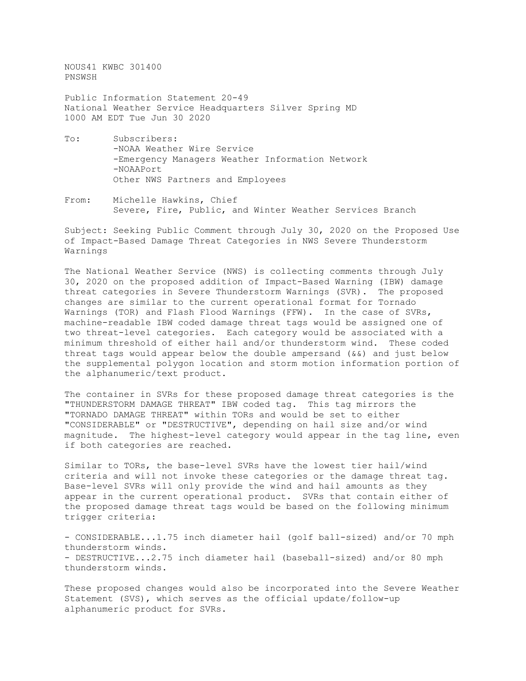NOUS41 KWBC 301400 PNSWSH

Public Information Statement 20-49 National Weather Service Headquarters Silver Spring MD 1000 AM EDT Tue Jun 30 2020

- To: Subscribers: -NOAA Weather Wire Service -Emergency Managers Weather Information Network -NOAAPort Other NWS Partners and Employees
- From: Michelle Hawkins, Chief Severe, Fire, Public, and Winter Weather Services Branch

Subject: Seeking Public Comment through July 30, 2020 on the Proposed Use of Impact-Based Damage Threat Categories in NWS Severe Thunderstorm Warnings

The National Weather Service (NWS) is collecting comments through July 30, 2020 on the proposed addition of Impact-Based Warning (IBW) damage threat categories in Severe Thunderstorm Warnings (SVR). The proposed changes are similar to the current operational format for Tornado Warnings (TOR) and Flash Flood Warnings (FFW). In the case of SVRs, machine-readable IBW coded damage threat tags would be assigned one of two threat-level categories. Each category would be associated with a minimum threshold of either hail and/or thunderstorm wind. These coded threat tags would appear below the double ampersand  $(66)$  and just below the supplemental polygon location and storm motion information portion of the alphanumeric/text product.

The container in SVRs for these proposed damage threat categories is the "THUNDERSTORM DAMAGE THREAT" IBW coded tag. This tag mirrors the "TORNADO DAMAGE THREAT" within TORs and would be set to either "CONSIDERABLE" or "DESTRUCTIVE", depending on hail size and/or wind magnitude. The highest-level category would appear in the tag line, even if both categories are reached.

Similar to TORs, the base-level SVRs have the lowest tier hail/wind criteria and will not invoke these categories or the damage threat tag. Base-level SVRs will only provide the wind and hail amounts as they appear in the current operational product. SVRs that contain either of the proposed damage threat tags would be based on the following minimum trigger criteria:

- CONSIDERABLE...1.75 inch diameter hail (golf ball-sized) and/or 70 mph thunderstorm winds. - DESTRUCTIVE...2.75 inch diameter hail (baseball-sized) and/or 80 mph thunderstorm winds.

These proposed changes would also be incorporated into the Severe Weather Statement (SVS), which serves as the official update/follow-up alphanumeric product for SVRs.